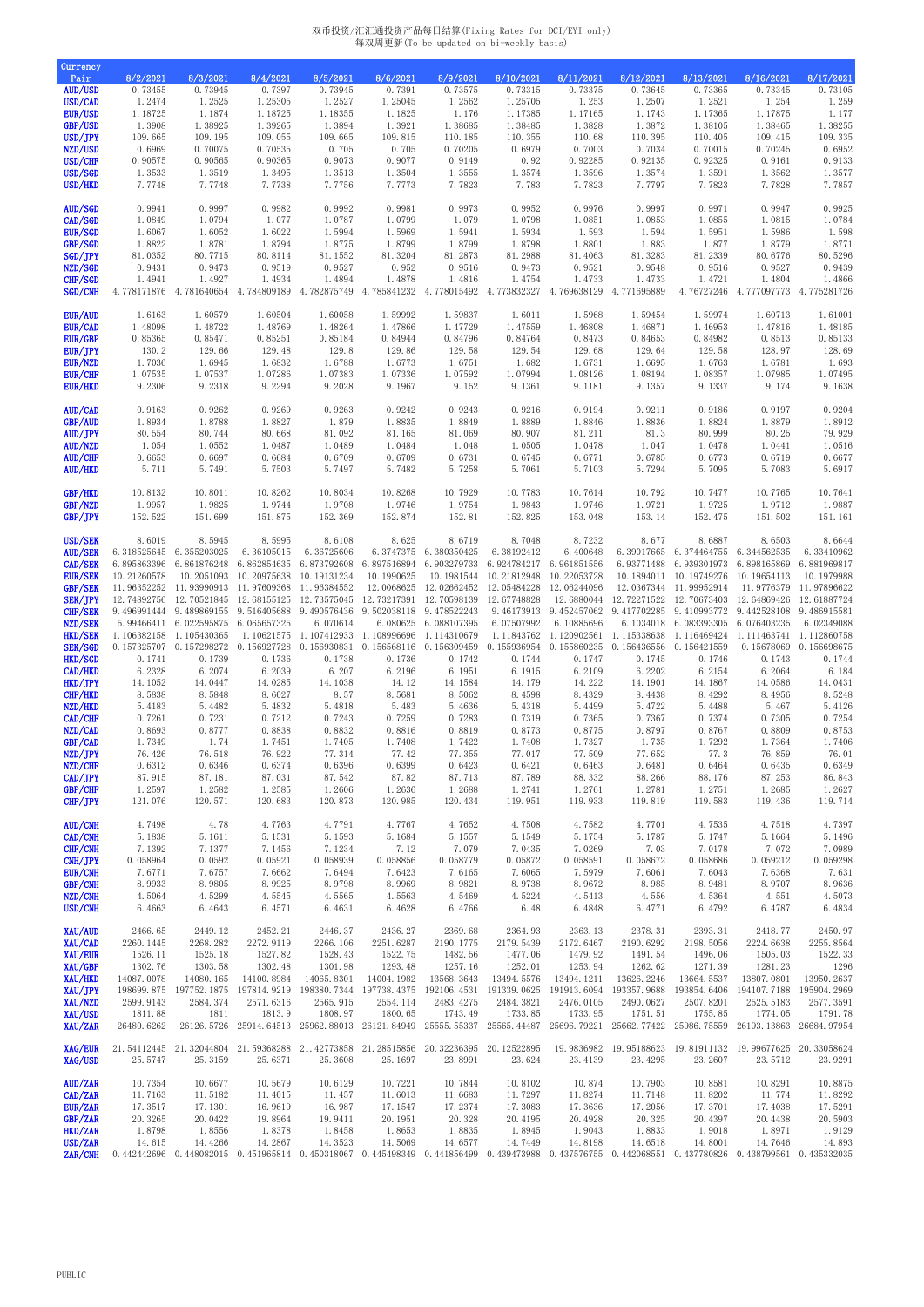## 双币投资/汇汇通投资产品每日结算(Fixing Rates for DCI/EYI only) 每双周更新(To be updated on bi-weekly basis)

| AUD/USD<br>0.73455<br>0.73945<br>0.7397<br>0.73945<br>0.7391<br>0.73575<br>0.73315<br>0.73375<br>0.73645<br>0.73365<br>0.73345<br>USD/CAD<br>1.2474<br>1.2525<br>1.25305<br>1.2527<br>1.25045<br>1.2562<br>1.25705<br>1.2507<br>1.2521<br>1.253<br>1.254<br><b>EUR/USD</b><br>1.18725<br>1.1874<br>1.18725<br>1.18355<br>1.1825<br>1.17875<br>1.176<br>1.17385<br>1.17165<br>1.1743<br>1.17365<br>GBP/USD<br>1.3908<br>1.38925<br>1.39265<br>1.3894<br>1.3921<br>1.38685<br>1.38485<br>1.3828<br>1.3872<br>1.38105<br>1.38465<br>USD/JPY<br>109.665<br>109.815<br>110.185<br>110.355<br>110.395<br>109.665<br>109.195<br>109.055<br>110.68<br>110.405<br>109.415<br>NZD/USD<br>0.6969<br>0.70075<br>0.70535<br>0.705<br>0.705<br>0.70205<br>0.6979<br>0.7003<br>0.7034<br>0.70015<br>0.70245<br>USD/CHF<br>0.90575<br>0.90565<br>0.90365<br>0.9073<br>0.9077<br>0.92<br>0.92285<br>0.92135<br>0.92325<br>0.9161<br>0.9149<br>USD/SGD<br>1.3533<br>1.3519<br>1.3495<br>1.3513<br>1.3504<br>1.3555<br>1.3574<br>1.3596<br>1.3574<br>1.3591<br>1.3562<br>USD/HKD<br>7.7748<br>7.7748<br>7.7738<br>7.7756<br>7.7773<br>7.7823<br>7.783<br>7.7823<br>7.7797<br>7.7823<br>7.7828<br>AUD/SGD<br>0.9941<br>0.9997<br>0.9982<br>0.9992<br>0.9981<br>0.9973<br>0.9952<br>0.9976<br>0.9997<br>0.9971<br>0.9947<br>CAD/SGD<br>1.0849<br>1.0794<br>1.077<br>1.0787<br>1.0799<br>1.079<br>1.0798<br>1.0851<br>1.0853<br>1.0855<br>1.0815<br><b>EUR/SGD</b><br>1.6022<br>1.5994<br>1.5969<br>1.5941<br>1.5934<br>1.593<br>1.6067<br>1.6052<br>1.594<br>1.5951<br>1.5986<br>GBP/SGD<br>1.8822<br>1.8781<br>1.8794<br>1.8775<br>1.8799<br>1.8799<br>1.8798<br>1.8801<br>1.883<br>1.877<br>1.8779<br>SGD/JPY<br>80.7715<br>81.3204<br>81.2873<br>81.3283<br>80.6776<br>81.0352<br>80.8114<br>81.1552<br>81.2988<br>81.4063<br>81.2339<br>NZD/SGD<br>0.9473<br>0.9519<br>0.9527<br>0.952<br>0.9516<br>0.9473<br>0.9521<br>0.9548<br>0.9516<br>0.9527<br>0.9431<br>CHF/SGD<br>1.4927<br>1.4894<br>1.4878<br>1.4816<br>1.4754<br>1.4733<br>1.4733<br>1.4721<br>1.4804<br>1.4941<br>1.4934 | 0.73105<br>1.259<br>1.177<br>1.38255<br>109.335<br>0.6952<br>0.9133<br>1.3577<br>7.7857<br>0.9925<br>1.0784<br>1.598<br>1.8771<br>80.5296<br>0.9439<br>1.4866 |
|----------------------------------------------------------------------------------------------------------------------------------------------------------------------------------------------------------------------------------------------------------------------------------------------------------------------------------------------------------------------------------------------------------------------------------------------------------------------------------------------------------------------------------------------------------------------------------------------------------------------------------------------------------------------------------------------------------------------------------------------------------------------------------------------------------------------------------------------------------------------------------------------------------------------------------------------------------------------------------------------------------------------------------------------------------------------------------------------------------------------------------------------------------------------------------------------------------------------------------------------------------------------------------------------------------------------------------------------------------------------------------------------------------------------------------------------------------------------------------------------------------------------------------------------------------------------------------------------------------------------------------------------------------------------------------------------------------------------------------------------------------------------------------------------------------------------------------------------------------------------------------------------------------------------------------------------------------------------------------------------------------------------------------------------------------------------|---------------------------------------------------------------------------------------------------------------------------------------------------------------|
|                                                                                                                                                                                                                                                                                                                                                                                                                                                                                                                                                                                                                                                                                                                                                                                                                                                                                                                                                                                                                                                                                                                                                                                                                                                                                                                                                                                                                                                                                                                                                                                                                                                                                                                                                                                                                                                                                                                                                                                                                                                                      |                                                                                                                                                               |
|                                                                                                                                                                                                                                                                                                                                                                                                                                                                                                                                                                                                                                                                                                                                                                                                                                                                                                                                                                                                                                                                                                                                                                                                                                                                                                                                                                                                                                                                                                                                                                                                                                                                                                                                                                                                                                                                                                                                                                                                                                                                      |                                                                                                                                                               |
|                                                                                                                                                                                                                                                                                                                                                                                                                                                                                                                                                                                                                                                                                                                                                                                                                                                                                                                                                                                                                                                                                                                                                                                                                                                                                                                                                                                                                                                                                                                                                                                                                                                                                                                                                                                                                                                                                                                                                                                                                                                                      |                                                                                                                                                               |
|                                                                                                                                                                                                                                                                                                                                                                                                                                                                                                                                                                                                                                                                                                                                                                                                                                                                                                                                                                                                                                                                                                                                                                                                                                                                                                                                                                                                                                                                                                                                                                                                                                                                                                                                                                                                                                                                                                                                                                                                                                                                      |                                                                                                                                                               |
|                                                                                                                                                                                                                                                                                                                                                                                                                                                                                                                                                                                                                                                                                                                                                                                                                                                                                                                                                                                                                                                                                                                                                                                                                                                                                                                                                                                                                                                                                                                                                                                                                                                                                                                                                                                                                                                                                                                                                                                                                                                                      |                                                                                                                                                               |
|                                                                                                                                                                                                                                                                                                                                                                                                                                                                                                                                                                                                                                                                                                                                                                                                                                                                                                                                                                                                                                                                                                                                                                                                                                                                                                                                                                                                                                                                                                                                                                                                                                                                                                                                                                                                                                                                                                                                                                                                                                                                      |                                                                                                                                                               |
|                                                                                                                                                                                                                                                                                                                                                                                                                                                                                                                                                                                                                                                                                                                                                                                                                                                                                                                                                                                                                                                                                                                                                                                                                                                                                                                                                                                                                                                                                                                                                                                                                                                                                                                                                                                                                                                                                                                                                                                                                                                                      |                                                                                                                                                               |
|                                                                                                                                                                                                                                                                                                                                                                                                                                                                                                                                                                                                                                                                                                                                                                                                                                                                                                                                                                                                                                                                                                                                                                                                                                                                                                                                                                                                                                                                                                                                                                                                                                                                                                                                                                                                                                                                                                                                                                                                                                                                      |                                                                                                                                                               |
|                                                                                                                                                                                                                                                                                                                                                                                                                                                                                                                                                                                                                                                                                                                                                                                                                                                                                                                                                                                                                                                                                                                                                                                                                                                                                                                                                                                                                                                                                                                                                                                                                                                                                                                                                                                                                                                                                                                                                                                                                                                                      |                                                                                                                                                               |
| <b>SGD/CNH</b><br>4.773832327 4.769638129<br>4.76727246<br>4.778171876<br>4.781640654 4.784809189<br>4.782875749<br>4.785841232<br>4.778015492<br>4.771695889                                                                                                                                                                                                                                                                                                                                                                                                                                                                                                                                                                                                                                                                                                                                                                                                                                                                                                                                                                                                                                                                                                                                                                                                                                                                                                                                                                                                                                                                                                                                                                                                                                                                                                                                                                                                                                                                                                        | 4.777097773 4.775281726                                                                                                                                       |
| EUR/AUD<br>1.6163<br>1.60579<br>1.60504<br>1.60058<br>1.59992<br>1.59837<br>1.6011<br>1.5968<br>1.59454<br>1.59974<br>1.60713                                                                                                                                                                                                                                                                                                                                                                                                                                                                                                                                                                                                                                                                                                                                                                                                                                                                                                                                                                                                                                                                                                                                                                                                                                                                                                                                                                                                                                                                                                                                                                                                                                                                                                                                                                                                                                                                                                                                        | 1.61001                                                                                                                                                       |
| EUR/CAD<br>1.48098<br>1.48722<br>1.48769<br>1.48264<br>1.47866<br>1.47729<br>1.47559<br>1.46808<br>1.46953<br>1.46871<br>1.47816<br>EUR/GBP<br>0.85365<br>0.85471<br>0.85251<br>0.85184<br>0.84944<br>0.84796<br>0.84764<br>0.8473<br>0.84653<br>0.84982<br>0.8513                                                                                                                                                                                                                                                                                                                                                                                                                                                                                                                                                                                                                                                                                                                                                                                                                                                                                                                                                                                                                                                                                                                                                                                                                                                                                                                                                                                                                                                                                                                                                                                                                                                                                                                                                                                                   | 1.48185<br>0.85133                                                                                                                                            |
| EUR/JPY<br>129.66<br>129.68<br>128.97<br>130.2<br>129.48<br>129.8<br>129.86<br>129.58<br>129.54<br>129.64<br>129.58<br>EUR/NZD<br>1.7036<br>1.6945<br>1.6832<br>1.6788<br>1.6773<br>1.6751<br>1.682<br>1.6731<br>1.6695<br>1.6763<br>1.6781                                                                                                                                                                                                                                                                                                                                                                                                                                                                                                                                                                                                                                                                                                                                                                                                                                                                                                                                                                                                                                                                                                                                                                                                                                                                                                                                                                                                                                                                                                                                                                                                                                                                                                                                                                                                                          | 128.69<br>1.693                                                                                                                                               |
| <b>EUR/CHF</b><br>1.07535<br>1.07383<br>1.07336<br>1.07592<br>1.07994<br>1.07537<br>1.07286<br>1.08126<br>1.08194<br>1.08357<br>1.07985<br><b>EUR/HKD</b><br>9.2306<br>9.2318<br>9.2294<br>9.2028<br>9.1967<br>9.152<br>9.1361<br>9.1181<br>9.1337<br>9.1357<br>9.174                                                                                                                                                                                                                                                                                                                                                                                                                                                                                                                                                                                                                                                                                                                                                                                                                                                                                                                                                                                                                                                                                                                                                                                                                                                                                                                                                                                                                                                                                                                                                                                                                                                                                                                                                                                                | 1.07495<br>9.1638                                                                                                                                             |
| AUD/CAD<br>0.9163<br>0.9262<br>0.9269<br>0.9263<br>0.9242<br>0.9243<br>0.9216<br>0.9194<br>0.9211<br>0.9186<br>0.9197                                                                                                                                                                                                                                                                                                                                                                                                                                                                                                                                                                                                                                                                                                                                                                                                                                                                                                                                                                                                                                                                                                                                                                                                                                                                                                                                                                                                                                                                                                                                                                                                                                                                                                                                                                                                                                                                                                                                                | 0.9204                                                                                                                                                        |
| <b>GBP/AUD</b><br>1.8934<br>1.8788<br>1.8827<br>1.879<br>1.8835<br>1.8849<br>1.8889<br>1.8846<br>1.8836<br>1.8824<br>1.8879<br>AUD/JPY<br>80.668<br>81.092<br>81.165<br>81.069<br>80.907<br>81.211<br>81.3<br>80.999<br>80.25<br>80.554<br>80.744                                                                                                                                                                                                                                                                                                                                                                                                                                                                                                                                                                                                                                                                                                                                                                                                                                                                                                                                                                                                                                                                                                                                                                                                                                                                                                                                                                                                                                                                                                                                                                                                                                                                                                                                                                                                                    | 1.8912<br>79.929                                                                                                                                              |
| AUD/NZD<br>1.054<br>1.0489<br>1.0484<br>1.048<br>1.0505<br>1.0478<br>1.0552<br>1.0487<br>1.047<br>1.0478<br>1.0441                                                                                                                                                                                                                                                                                                                                                                                                                                                                                                                                                                                                                                                                                                                                                                                                                                                                                                                                                                                                                                                                                                                                                                                                                                                                                                                                                                                                                                                                                                                                                                                                                                                                                                                                                                                                                                                                                                                                                   | 1.0516                                                                                                                                                        |
| <b>AUD/CHF</b><br>0.6653<br>0.6697<br>0.6684<br>0.6709<br>0.6709<br>0.6731<br>0.6745<br>0.6771<br>0.6785<br>0.6773<br>0.6719<br><b>AUD/HKD</b><br>5.7294<br>5.7083<br>5.711<br>5.7491<br>5.7503<br>5.7497<br>5.7482<br>5.7258<br>5.7061<br>5.7103<br>5.7095                                                                                                                                                                                                                                                                                                                                                                                                                                                                                                                                                                                                                                                                                                                                                                                                                                                                                                                                                                                                                                                                                                                                                                                                                                                                                                                                                                                                                                                                                                                                                                                                                                                                                                                                                                                                          | 0.6677<br>5.6917                                                                                                                                              |
| GBP/HKD<br>10.8132<br>10.8262<br>10.8268<br>10.7929<br>10.7783<br>10.8011<br>10.8034<br>10.7614<br>10.792<br>10.7477<br>10.7765<br>GBP/NZD<br>1.9957<br>1.9825<br>1.9708<br>1.9746<br>1.9754<br>1.9843<br>1.9746<br>1.9721<br>1.9725<br>1.9712<br>1.9744                                                                                                                                                                                                                                                                                                                                                                                                                                                                                                                                                                                                                                                                                                                                                                                                                                                                                                                                                                                                                                                                                                                                                                                                                                                                                                                                                                                                                                                                                                                                                                                                                                                                                                                                                                                                             | 10.7641<br>1.9887                                                                                                                                             |
| GBP/JPY<br>152.522<br>152.825<br>151.699<br>151.875<br>152.369<br>152.874<br>152.81<br>153.048<br>153.14<br>152.475<br>151.502                                                                                                                                                                                                                                                                                                                                                                                                                                                                                                                                                                                                                                                                                                                                                                                                                                                                                                                                                                                                                                                                                                                                                                                                                                                                                                                                                                                                                                                                                                                                                                                                                                                                                                                                                                                                                                                                                                                                       | 151.161                                                                                                                                                       |
| USD/SEK<br>8.625<br>8.7232<br>8.6019<br>8.5945<br>8.5995<br>8.6108<br>8.6719<br>8.7048<br>8.677<br>8.6887<br>8.6503<br>AUD/SEK 6.318525645 6.355203025<br>6.36105015 6.36725606<br>6.3747375 6.380350425<br>6.38192412<br>6.400648   6.39017665   6.374464755   6.344562535   6.33410962                                                                                                                                                                                                                                                                                                                                                                                                                                                                                                                                                                                                                                                                                                                                                                                                                                                                                                                                                                                                                                                                                                                                                                                                                                                                                                                                                                                                                                                                                                                                                                                                                                                                                                                                                                             | 8.6644                                                                                                                                                        |
| CAD/SEK<br>6.895863396<br>6.861876248<br>6.862854635<br>6.873792608<br>6.897516894 6.903279733 6.924784217 6.961851556<br>6.93771488 6.939301973 6.898165869<br><b>EUR/SEK</b><br>10.21260578<br>10.2051093<br>10.20975638<br>10.19131234<br>10.1990625<br>10.1981544 10.21812948 10.22053728<br>10.1894011 10.19749276<br>10.19654113                                                                                                                                                                                                                                                                                                                                                                                                                                                                                                                                                                                                                                                                                                                                                                                                                                                                                                                                                                                                                                                                                                                                                                                                                                                                                                                                                                                                                                                                                                                                                                                                                                                                                                                               | 6.881969817<br>10.1979988                                                                                                                                     |
| GBP/SEK<br>11.96352252<br>11.93990913<br>11.97609368<br>11.96384552<br>12.0068625<br>12.02662452<br>12.05484228<br>12.06244096<br>12.0367344 11.99952914<br>11.9776379                                                                                                                                                                                                                                                                                                                                                                                                                                                                                                                                                                                                                                                                                                                                                                                                                                                                                                                                                                                                                                                                                                                                                                                                                                                                                                                                                                                                                                                                                                                                                                                                                                                                                                                                                                                                                                                                                               | 11.97896622                                                                                                                                                   |
| SEK/JPY<br>12.68155125<br>12.73575045<br>12.70598139<br>12.67748828<br>12.6880044<br>12.72271522 12.70673403<br>12.74892756<br>12.70521845<br>12.73217391<br>12.64869426<br>CHF/SEK<br>9.502038118<br>9.478522243<br>9.46173913 9.452457062<br>9.417702285 9.410993772 9.442528108<br>9.496991444 9.489869155<br>9.516405688<br>9.490576436                                                                                                                                                                                                                                                                                                                                                                                                                                                                                                                                                                                                                                                                                                                                                                                                                                                                                                                                                                                                                                                                                                                                                                                                                                                                                                                                                                                                                                                                                                                                                                                                                                                                                                                          | 12.61887724<br>9.486915581                                                                                                                                    |
| NZD/SEK<br>6.022595875<br>6.070614<br>6.080625<br>6.088107395<br>6.07507992<br>6.10885696<br>6.1034018<br>6.083393305 6.076403235<br>5.99466411<br>6.065657325<br><b>HKD/SEK</b><br>1.105430365<br>1.10621575<br>1.107412933<br>1.108996696<br>1.114310679<br>1.11843762 1.120902561<br>1.115338638<br>1.111463741<br>1.106382158<br>1.116469424                                                                                                                                                                                                                                                                                                                                                                                                                                                                                                                                                                                                                                                                                                                                                                                                                                                                                                                                                                                                                                                                                                                                                                                                                                                                                                                                                                                                                                                                                                                                                                                                                                                                                                                     | 6.02349088<br>1.112860758                                                                                                                                     |
| <b>SEK/SGD</b><br>0.157325707<br>0.157298272<br>0.156927728<br>0.156930831<br>0.156568116<br>0.156309459<br>0.155936954 0.155860235<br>0.156436556<br>0.156421559<br>0.15678069                                                                                                                                                                                                                                                                                                                                                                                                                                                                                                                                                                                                                                                                                                                                                                                                                                                                                                                                                                                                                                                                                                                                                                                                                                                                                                                                                                                                                                                                                                                                                                                                                                                                                                                                                                                                                                                                                      | 0.156698675                                                                                                                                                   |
| HKD/SGD<br>0.1739<br>0.1741<br>0.1736<br>0.1738<br>0.1736<br>0.1742<br>0.1744<br>0.1747<br>0.1745<br>0.1746<br>0.1743<br>CAD/HKD<br>6.2328<br>6.2074<br>6.2039<br>6.207<br>6.2196<br>6.1951<br>6.1915<br>6.2109<br>6.2202<br>6.2154<br>6.2064                                                                                                                                                                                                                                                                                                                                                                                                                                                                                                                                                                                                                                                                                                                                                                                                                                                                                                                                                                                                                                                                                                                                                                                                                                                                                                                                                                                                                                                                                                                                                                                                                                                                                                                                                                                                                        | 0.1744<br>6.184                                                                                                                                               |
| HKD/JPY<br>14.1038<br>14.222<br>14.1052<br>14.0447<br>14.0285<br>14.12<br>14.1584<br>14.179<br>14.1901<br>14.1867<br>14.0586<br>CHF/HKD<br>8.5838<br>8.6027<br>8.57<br>8.5681<br>8.5062<br>8.4598<br>8.4329<br>8.4292<br>8.4956<br>8.5848<br>8.4438                                                                                                                                                                                                                                                                                                                                                                                                                                                                                                                                                                                                                                                                                                                                                                                                                                                                                                                                                                                                                                                                                                                                                                                                                                                                                                                                                                                                                                                                                                                                                                                                                                                                                                                                                                                                                  | 14.0431<br>8.5248                                                                                                                                             |
| NZD/HKD<br>5.4832<br>5.4818<br>5.483<br>5.4636<br>5.4318<br>5.4722<br>5.467<br>5.4183<br>5.4482<br>5.4499<br>5.4488                                                                                                                                                                                                                                                                                                                                                                                                                                                                                                                                                                                                                                                                                                                                                                                                                                                                                                                                                                                                                                                                                                                                                                                                                                                                                                                                                                                                                                                                                                                                                                                                                                                                                                                                                                                                                                                                                                                                                  | 5.4126                                                                                                                                                        |
| CAD/CHF<br>0.7261<br>0.7231<br>0.7212<br>0.7243<br>0.7259<br>0.7283<br>0.7319<br>0.7365<br>0.7367<br>0.7374<br>0.7305<br>NZD/CAD<br>0.8838<br>0.8832<br>0.8816<br>0.8819<br>0.8773<br>0.8775<br>0.8797<br>0.8767<br>0.8809<br>0.8693<br>0.8777                                                                                                                                                                                                                                                                                                                                                                                                                                                                                                                                                                                                                                                                                                                                                                                                                                                                                                                                                                                                                                                                                                                                                                                                                                                                                                                                                                                                                                                                                                                                                                                                                                                                                                                                                                                                                       | 0.7254<br>0.8753                                                                                                                                              |
| GBP/CAD<br>1.7422<br>1.7408<br>1.7327<br>1.735<br>1.7349<br>1.74<br>1.7451<br>1.7405<br>1.7408<br>1.7292<br>1.7364<br>NZD/JPY<br>76.518<br>76.922<br>77.314<br>77.355<br>77.017<br>77.509<br>77.652<br>77.3<br>76.859<br>76.426<br>77.42                                                                                                                                                                                                                                                                                                                                                                                                                                                                                                                                                                                                                                                                                                                                                                                                                                                                                                                                                                                                                                                                                                                                                                                                                                                                                                                                                                                                                                                                                                                                                                                                                                                                                                                                                                                                                             | 1.7406<br>76.01                                                                                                                                               |
| NZD/CHF<br>0.6374<br>0.6396<br>0.6399<br>0.6423<br>0.6421<br>0.6481<br>0.6435<br>0.6312<br>0.6346<br>0.6463<br>0.6464                                                                                                                                                                                                                                                                                                                                                                                                                                                                                                                                                                                                                                                                                                                                                                                                                                                                                                                                                                                                                                                                                                                                                                                                                                                                                                                                                                                                                                                                                                                                                                                                                                                                                                                                                                                                                                                                                                                                                | 0.6349                                                                                                                                                        |
| CAD/JPY<br>87.915<br>87.031<br>87.542<br>87.82<br>87.713<br>87.789<br>88.332<br>88.266<br>87.253<br>87.181<br>88.176<br>GBP/CHF<br>1.2582<br>1.2585<br>1.2606<br>1.2636<br>1.2688<br>1.2741<br>1.2685<br>1.2597<br>1.2761<br>1.2781<br>1.2751                                                                                                                                                                                                                                                                                                                                                                                                                                                                                                                                                                                                                                                                                                                                                                                                                                                                                                                                                                                                                                                                                                                                                                                                                                                                                                                                                                                                                                                                                                                                                                                                                                                                                                                                                                                                                        | 86.843<br>1.2627                                                                                                                                              |
| CHF/JPY<br>121.076<br>120.571<br>120.683<br>120.873<br>120.985<br>120.434<br>119.951<br>119.933<br>119.819<br>119.583<br>119.436                                                                                                                                                                                                                                                                                                                                                                                                                                                                                                                                                                                                                                                                                                                                                                                                                                                                                                                                                                                                                                                                                                                                                                                                                                                                                                                                                                                                                                                                                                                                                                                                                                                                                                                                                                                                                                                                                                                                     | 119.714                                                                                                                                                       |
| <b>AUD/CNH</b><br>4.78<br>4.7498<br>4.7763<br>4.7791<br>4.7767<br>4.7652<br>4.7508<br>4.7582<br>4.7701<br>4.7535<br>4.7518<br>CAD/CNH<br>5.1838<br>5.1611<br>5.1531<br>5.1593<br>5.1557<br>5.1549<br>5.1754<br>5.1787<br>5.1747<br>5.1664<br>5.1684                                                                                                                                                                                                                                                                                                                                                                                                                                                                                                                                                                                                                                                                                                                                                                                                                                                                                                                                                                                                                                                                                                                                                                                                                                                                                                                                                                                                                                                                                                                                                                                                                                                                                                                                                                                                                  | 4.7397<br>5.1496                                                                                                                                              |
| CHF/CNH<br>7.1392<br>7.1234<br>7.12<br>7.079<br>7.0435<br>7.0269<br>7.03<br>7.0178<br>7.072<br>7.1377<br>7.1456<br>CNH/JPY<br>0.058964<br>0.058939<br>0.058856<br>0.058779<br>0.05872<br>0.058672<br>0.059212<br>0.0592<br>0.05921<br>0.058591<br>0.058686                                                                                                                                                                                                                                                                                                                                                                                                                                                                                                                                                                                                                                                                                                                                                                                                                                                                                                                                                                                                                                                                                                                                                                                                                                                                                                                                                                                                                                                                                                                                                                                                                                                                                                                                                                                                           | 7.0989<br>0.059298                                                                                                                                            |
| EUR/CNH<br>7.6771<br>7.6757<br>7.6662<br>7.6494<br>7.6423<br>7.6165<br>7.6065<br>7.5979<br>7.6061<br>7.6043<br>7.6368                                                                                                                                                                                                                                                                                                                                                                                                                                                                                                                                                                                                                                                                                                                                                                                                                                                                                                                                                                                                                                                                                                                                                                                                                                                                                                                                                                                                                                                                                                                                                                                                                                                                                                                                                                                                                                                                                                                                                | 7.631                                                                                                                                                         |
| GBP/CNH<br>8.9933<br>8.9805<br>8.9925<br>8.9798<br>8.9821<br>8.9738<br>8.9672<br>8.9969<br>8.985<br>8.9481<br>8.9707<br>NZD/CNH<br>4.5299<br>4.5545<br>4.5469<br>4.5224<br>4.5413<br>4.551<br>4.5064<br>4.5565<br>4.5563<br>4.556<br>4.5364                                                                                                                                                                                                                                                                                                                                                                                                                                                                                                                                                                                                                                                                                                                                                                                                                                                                                                                                                                                                                                                                                                                                                                                                                                                                                                                                                                                                                                                                                                                                                                                                                                                                                                                                                                                                                          | 8.9636<br>4.5073                                                                                                                                              |
| 6.4628<br>USD/CNH<br>6.4663<br>6.4643<br>6.4571<br>6.4631<br>6.4766<br>6.48<br>6.4848<br>6.4771<br>6.4792<br>6.4787                                                                                                                                                                                                                                                                                                                                                                                                                                                                                                                                                                                                                                                                                                                                                                                                                                                                                                                                                                                                                                                                                                                                                                                                                                                                                                                                                                                                                                                                                                                                                                                                                                                                                                                                                                                                                                                                                                                                                  | 6.4834                                                                                                                                                        |
| XAU/AUD<br>2466.65<br>2449.12<br>2452.21<br>2446.37<br>2436.27<br>2369.68<br>2364.93<br>2363.13<br>2378.31<br>2393.31<br>2418.77<br>XAU/CAD<br>2272.9119<br>2251.6287<br>2190.6292<br>2224.6638<br>2260.1445<br>2268.282<br>2266.106<br>2190.1775<br>2179.5439<br>2172.6467<br>2198.5056                                                                                                                                                                                                                                                                                                                                                                                                                                                                                                                                                                                                                                                                                                                                                                                                                                                                                                                                                                                                                                                                                                                                                                                                                                                                                                                                                                                                                                                                                                                                                                                                                                                                                                                                                                             | 2450.97<br>2255.8564                                                                                                                                          |
| XAU/EUR<br>1526.11<br>1525.18<br>1527.82<br>1528.43<br>1522.75<br>1482.56<br>1479.92<br>1496.06<br>1505.03<br>1477.06<br>1491.54<br>XAU/GBP<br>1302.76<br>1303.58<br>1302.48<br>1293.48<br>1257.16<br>1252.01<br>1253.94<br>1262.62<br>1271.39<br>1281.23<br>1301.98                                                                                                                                                                                                                                                                                                                                                                                                                                                                                                                                                                                                                                                                                                                                                                                                                                                                                                                                                                                                                                                                                                                                                                                                                                                                                                                                                                                                                                                                                                                                                                                                                                                                                                                                                                                                 | 1522.33<br>1296                                                                                                                                               |
| XAU/HKD<br>14087.0078<br>14100.8984<br>14065.8301<br>14004.1982<br>13568.3643<br>13494.5576<br>13626.2246<br>13664.5537<br>13807.0801<br>14080.165<br>13494.1211<br>XAU/JPY<br>198699.875<br>197752.1875<br>197814.9219<br>198380.7344<br>197738.4375<br>192106.4531<br>191339.0625<br>191913.6094<br>193357.9688<br>193854.6406<br>194107.7188                                                                                                                                                                                                                                                                                                                                                                                                                                                                                                                                                                                                                                                                                                                                                                                                                                                                                                                                                                                                                                                                                                                                                                                                                                                                                                                                                                                                                                                                                                                                                                                                                                                                                                                      | 13950.2637<br>195904.2969                                                                                                                                     |
| XAU/NZD<br>2599.9143<br>2584.374<br>2571.6316<br>2565.915<br>2554.114<br>2483.4275<br>2484.3821<br>2476.0105<br>2490.0627<br>2507.8201<br>2525.5183                                                                                                                                                                                                                                                                                                                                                                                                                                                                                                                                                                                                                                                                                                                                                                                                                                                                                                                                                                                                                                                                                                                                                                                                                                                                                                                                                                                                                                                                                                                                                                                                                                                                                                                                                                                                                                                                                                                  | 2577.3591                                                                                                                                                     |
| XAU/USD<br>1811<br>1813.9<br>1808.97<br>1800.65<br>1743.49<br>1733.85<br>1733.95<br>1755.85<br>1774.05<br>1811.88<br>1751.51<br>XAU/ZAR<br>26126.5726<br>25914.64513<br>25962.88013<br>26121.84949<br>25565.44487<br>25662.77422<br>25986.75559<br>26480.6262<br>25555.55337<br>25696.79221<br>26193.13863                                                                                                                                                                                                                                                                                                                                                                                                                                                                                                                                                                                                                                                                                                                                                                                                                                                                                                                                                                                                                                                                                                                                                                                                                                                                                                                                                                                                                                                                                                                                                                                                                                                                                                                                                           | 1791.78<br>26684.97954                                                                                                                                        |
| 21.54112445 21.32044804 21.59368288 21.42773858 21.28515856 20.32236395 20.12522895 19.9836982 19.95188623 19.81911132 19.99677625 20.33058624<br>XAG/EUR<br>XAG/USD<br>25.5747<br>25.3159<br>25.6371<br>25.3608<br>25.1697<br>23.8991<br>23.624<br>23.4139<br>23.4295<br>23.2607<br>23.5712                                                                                                                                                                                                                                                                                                                                                                                                                                                                                                                                                                                                                                                                                                                                                                                                                                                                                                                                                                                                                                                                                                                                                                                                                                                                                                                                                                                                                                                                                                                                                                                                                                                                                                                                                                         | 23.9291                                                                                                                                                       |
| AUD/ZAR<br>10.7354<br>10.6677<br>10.5679<br>10.6129<br>10.7221<br>10.7844<br>10.8102<br>10.7903<br>10.8581<br>10.874<br>10.8291                                                                                                                                                                                                                                                                                                                                                                                                                                                                                                                                                                                                                                                                                                                                                                                                                                                                                                                                                                                                                                                                                                                                                                                                                                                                                                                                                                                                                                                                                                                                                                                                                                                                                                                                                                                                                                                                                                                                      | 10.8875                                                                                                                                                       |
| CAD/ZAR<br>11.7163<br>11.5182<br>11.4015<br>11.457<br>11.6013<br>11.6683<br>11.7297<br>11.8274<br>11.8202<br>11.774<br>11.7148<br>EUR/ZAR<br>16.987<br>17.3517<br>17.1301<br>16.9619<br>17.1547<br>17.2374<br>17.3083<br>17.3636<br>17.3701<br>17.4038<br>17.2056                                                                                                                                                                                                                                                                                                                                                                                                                                                                                                                                                                                                                                                                                                                                                                                                                                                                                                                                                                                                                                                                                                                                                                                                                                                                                                                                                                                                                                                                                                                                                                                                                                                                                                                                                                                                    | 11.8292<br>17.5291                                                                                                                                            |
| GBP/ZAR<br>20.3265<br>20.1951<br>20.328<br>20.0422<br>19.8964<br>19.9411<br>20.4195<br>20.4928<br>20.325<br>20.4397<br>20.4438<br>HKD/ZAR<br>1.8653<br>1.8835<br>1.8798<br>1.8556<br>1.8378<br>1.8458<br>1.8945<br>1.9043<br>1.8833<br>1.9018<br>1.8971                                                                                                                                                                                                                                                                                                                                                                                                                                                                                                                                                                                                                                                                                                                                                                                                                                                                                                                                                                                                                                                                                                                                                                                                                                                                                                                                                                                                                                                                                                                                                                                                                                                                                                                                                                                                              | 20.5903<br>1.9129                                                                                                                                             |
| USD/ZAR<br>14.4266<br>14.2867<br>14.3523<br>14.5069<br>14.6577<br>14.7449<br>14.615<br>14.8198<br>14.6518<br>14.8001<br>14.7646<br>0.442442696 0.448082015 0.451965814 0.450318067 0.445498349 0.441856499 0.439473988 0.437576755 0.442068551 0.437780826 0.438799561<br>ZAR/CNH                                                                                                                                                                                                                                                                                                                                                                                                                                                                                                                                                                                                                                                                                                                                                                                                                                                                                                                                                                                                                                                                                                                                                                                                                                                                                                                                                                                                                                                                                                                                                                                                                                                                                                                                                                                    | 14.893                                                                                                                                                        |